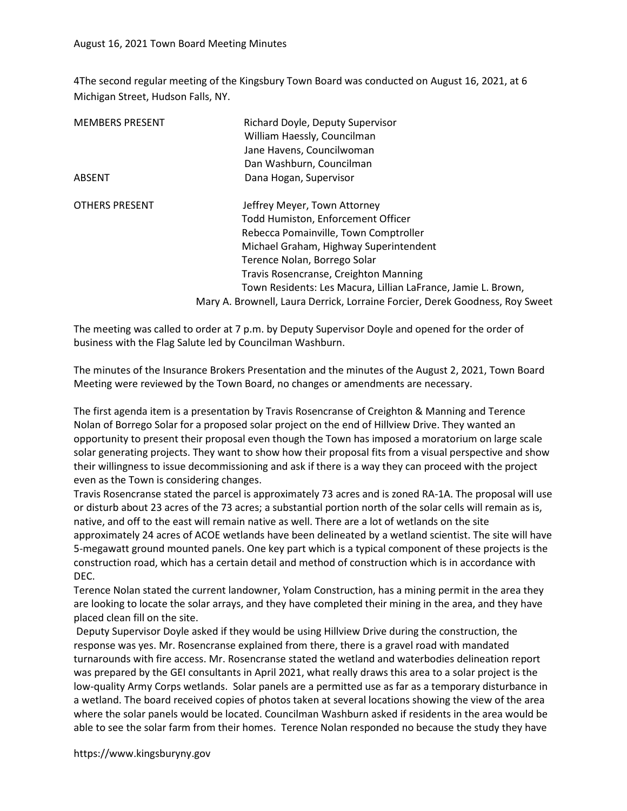4The second regular meeting of the Kingsbury Town Board was conducted on August 16, 2021, at 6 Michigan Street, Hudson Falls, NY.

| <b>MEMBERS PRESENT</b> | Richard Doyle, Deputy Supervisor                                             |
|------------------------|------------------------------------------------------------------------------|
|                        | William Haessly, Councilman                                                  |
|                        | Jane Havens, Councilwoman                                                    |
|                        | Dan Washburn, Councilman                                                     |
| ABSENT                 | Dana Hogan, Supervisor                                                       |
| <b>OTHERS PRESENT</b>  | Jeffrey Meyer, Town Attorney                                                 |
|                        | Todd Humiston, Enforcement Officer                                           |
|                        | Rebecca Pomainville, Town Comptroller                                        |
|                        | Michael Graham, Highway Superintendent                                       |
|                        | Terence Nolan, Borrego Solar                                                 |
|                        | Travis Rosencranse, Creighton Manning                                        |
|                        | Town Residents: Les Macura, Lillian LaFrance, Jamie L. Brown,                |
|                        | Mary A. Brownell, Laura Derrick, Lorraine Forcier, Derek Goodness, Roy Sweet |

The meeting was called to order at 7 p.m. by Deputy Supervisor Doyle and opened for the order of business with the Flag Salute led by Councilman Washburn.

The minutes of the Insurance Brokers Presentation and the minutes of the August 2, 2021, Town Board Meeting were reviewed by the Town Board, no changes or amendments are necessary.

The first agenda item is a presentation by Travis Rosencranse of Creighton & Manning and Terence Nolan of Borrego Solar for a proposed solar project on the end of Hillview Drive. They wanted an opportunity to present their proposal even though the Town has imposed a moratorium on large scale solar generating projects. They want to show how their proposal fits from a visual perspective and show their willingness to issue decommissioning and ask if there is a way they can proceed with the project even as the Town is considering changes.

Travis Rosencranse stated the parcel is approximately 73 acres and is zoned RA-1A. The proposal will use or disturb about 23 acres of the 73 acres; a substantial portion north of the solar cells will remain as is, native, and off to the east will remain native as well. There are a lot of wetlands on the site approximately 24 acres of ACOE wetlands have been delineated by a wetland scientist. The site will have 5-megawatt ground mounted panels. One key part which is a typical component of these projects is the construction road, which has a certain detail and method of construction which is in accordance with DEC.

Terence Nolan stated the current landowner, Yolam Construction, has a mining permit in the area they are looking to locate the solar arrays, and they have completed their mining in the area, and they have placed clean fill on the site.

 Deputy Supervisor Doyle asked if they would be using Hillview Drive during the construction, the response was yes. Mr. Rosencranse explained from there, there is a gravel road with mandated turnarounds with fire access. Mr. Rosencranse stated the wetland and waterbodies delineation report was prepared by the GEI consultants in April 2021, what really draws this area to a solar project is the low-quality Army Corps wetlands. Solar panels are a permitted use as far as a temporary disturbance in a wetland. The board received copies of photos taken at several locations showing the view of the area where the solar panels would be located. Councilman Washburn asked if residents in the area would be able to see the solar farm from their homes. Terence Nolan responded no because the study they have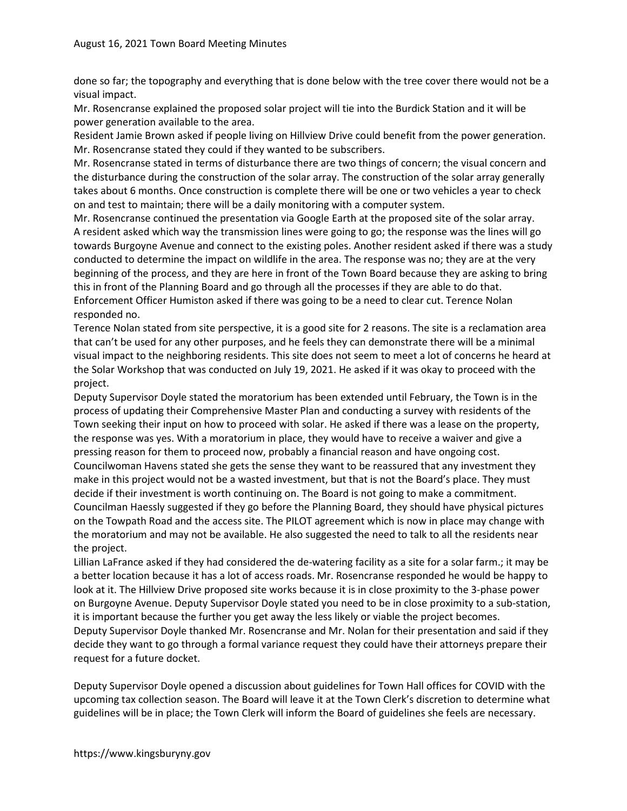done so far; the topography and everything that is done below with the tree cover there would not be a visual impact.

Mr. Rosencranse explained the proposed solar project will tie into the Burdick Station and it will be power generation available to the area.

Resident Jamie Brown asked if people living on Hillview Drive could benefit from the power generation. Mr. Rosencranse stated they could if they wanted to be subscribers.

Mr. Rosencranse stated in terms of disturbance there are two things of concern; the visual concern and the disturbance during the construction of the solar array. The construction of the solar array generally takes about 6 months. Once construction is complete there will be one or two vehicles a year to check on and test to maintain; there will be a daily monitoring with a computer system.

Mr. Rosencranse continued the presentation via Google Earth at the proposed site of the solar array. A resident asked which way the transmission lines were going to go; the response was the lines will go towards Burgoyne Avenue and connect to the existing poles. Another resident asked if there was a study conducted to determine the impact on wildlife in the area. The response was no; they are at the very beginning of the process, and they are here in front of the Town Board because they are asking to bring this in front of the Planning Board and go through all the processes if they are able to do that. Enforcement Officer Humiston asked if there was going to be a need to clear cut. Terence Nolan responded no.

Terence Nolan stated from site perspective, it is a good site for 2 reasons. The site is a reclamation area that can't be used for any other purposes, and he feels they can demonstrate there will be a minimal visual impact to the neighboring residents. This site does not seem to meet a lot of concerns he heard at the Solar Workshop that was conducted on July 19, 2021. He asked if it was okay to proceed with the project.

Deputy Supervisor Doyle stated the moratorium has been extended until February, the Town is in the process of updating their Comprehensive Master Plan and conducting a survey with residents of the Town seeking their input on how to proceed with solar. He asked if there was a lease on the property, the response was yes. With a moratorium in place, they would have to receive a waiver and give a pressing reason for them to proceed now, probably a financial reason and have ongoing cost. Councilwoman Havens stated she gets the sense they want to be reassured that any investment they make in this project would not be a wasted investment, but that is not the Board's place. They must decide if their investment is worth continuing on. The Board is not going to make a commitment. Councilman Haessly suggested if they go before the Planning Board, they should have physical pictures on the Towpath Road and the access site. The PILOT agreement which is now in place may change with the moratorium and may not be available. He also suggested the need to talk to all the residents near the project.

Lillian LaFrance asked if they had considered the de-watering facility as a site for a solar farm.; it may be a better location because it has a lot of access roads. Mr. Rosencranse responded he would be happy to look at it. The Hillview Drive proposed site works because it is in close proximity to the 3-phase power on Burgoyne Avenue. Deputy Supervisor Doyle stated you need to be in close proximity to a sub-station, it is important because the further you get away the less likely or viable the project becomes. Deputy Supervisor Doyle thanked Mr. Rosencranse and Mr. Nolan for their presentation and said if they decide they want to go through a formal variance request they could have their attorneys prepare their request for a future docket.

Deputy Supervisor Doyle opened a discussion about guidelines for Town Hall offices for COVID with the upcoming tax collection season. The Board will leave it at the Town Clerk's discretion to determine what guidelines will be in place; the Town Clerk will inform the Board of guidelines she feels are necessary.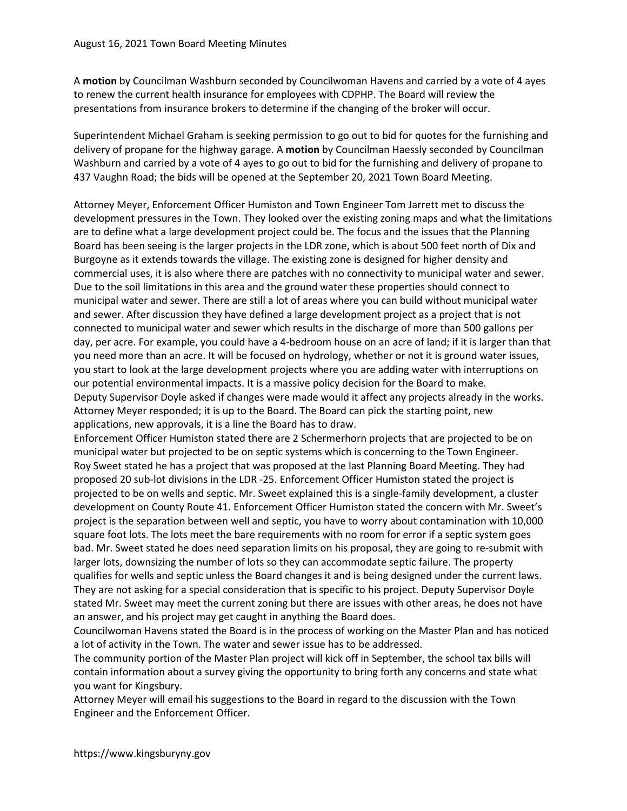A motion by Councilman Washburn seconded by Councilwoman Havens and carried by a vote of 4 ayes to renew the current health insurance for employees with CDPHP. The Board will review the presentations from insurance brokers to determine if the changing of the broker will occur.

Superintendent Michael Graham is seeking permission to go out to bid for quotes for the furnishing and delivery of propane for the highway garage. A motion by Councilman Haessly seconded by Councilman Washburn and carried by a vote of 4 ayes to go out to bid for the furnishing and delivery of propane to 437 Vaughn Road; the bids will be opened at the September 20, 2021 Town Board Meeting.

Attorney Meyer, Enforcement Officer Humiston and Town Engineer Tom Jarrett met to discuss the development pressures in the Town. They looked over the existing zoning maps and what the limitations are to define what a large development project could be. The focus and the issues that the Planning Board has been seeing is the larger projects in the LDR zone, which is about 500 feet north of Dix and Burgoyne as it extends towards the village. The existing zone is designed for higher density and commercial uses, it is also where there are patches with no connectivity to municipal water and sewer. Due to the soil limitations in this area and the ground water these properties should connect to municipal water and sewer. There are still a lot of areas where you can build without municipal water and sewer. After discussion they have defined a large development project as a project that is not connected to municipal water and sewer which results in the discharge of more than 500 gallons per day, per acre. For example, you could have a 4-bedroom house on an acre of land; if it is larger than that you need more than an acre. It will be focused on hydrology, whether or not it is ground water issues, you start to look at the large development projects where you are adding water with interruptions on our potential environmental impacts. It is a massive policy decision for the Board to make. Deputy Supervisor Doyle asked if changes were made would it affect any projects already in the works. Attorney Meyer responded; it is up to the Board. The Board can pick the starting point, new applications, new approvals, it is a line the Board has to draw.

Enforcement Officer Humiston stated there are 2 Schermerhorn projects that are projected to be on municipal water but projected to be on septic systems which is concerning to the Town Engineer. Roy Sweet stated he has a project that was proposed at the last Planning Board Meeting. They had proposed 20 sub-lot divisions in the LDR -25. Enforcement Officer Humiston stated the project is projected to be on wells and septic. Mr. Sweet explained this is a single-family development, a cluster development on County Route 41. Enforcement Officer Humiston stated the concern with Mr. Sweet's project is the separation between well and septic, you have to worry about contamination with 10,000 square foot lots. The lots meet the bare requirements with no room for error if a septic system goes bad. Mr. Sweet stated he does need separation limits on his proposal, they are going to re-submit with larger lots, downsizing the number of lots so they can accommodate septic failure. The property qualifies for wells and septic unless the Board changes it and is being designed under the current laws. They are not asking for a special consideration that is specific to his project. Deputy Supervisor Doyle stated Mr. Sweet may meet the current zoning but there are issues with other areas, he does not have an answer, and his project may get caught in anything the Board does.

Councilwoman Havens stated the Board is in the process of working on the Master Plan and has noticed a lot of activity in the Town. The water and sewer issue has to be addressed.

The community portion of the Master Plan project will kick off in September, the school tax bills will contain information about a survey giving the opportunity to bring forth any concerns and state what you want for Kingsbury.

Attorney Meyer will email his suggestions to the Board in regard to the discussion with the Town Engineer and the Enforcement Officer.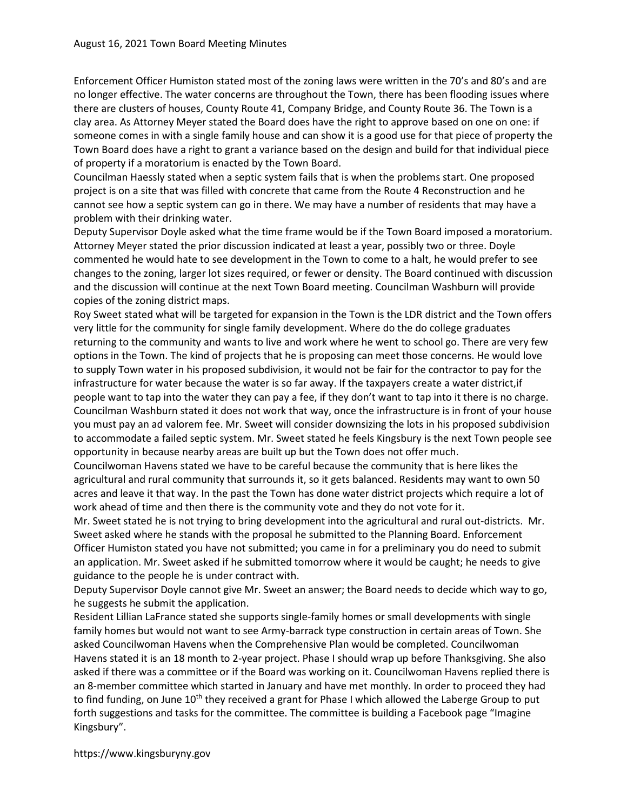Enforcement Officer Humiston stated most of the zoning laws were written in the 70's and 80's and are no longer effective. The water concerns are throughout the Town, there has been flooding issues where there are clusters of houses, County Route 41, Company Bridge, and County Route 36. The Town is a clay area. As Attorney Meyer stated the Board does have the right to approve based on one on one: if someone comes in with a single family house and can show it is a good use for that piece of property the Town Board does have a right to grant a variance based on the design and build for that individual piece of property if a moratorium is enacted by the Town Board.

Councilman Haessly stated when a septic system fails that is when the problems start. One proposed project is on a site that was filled with concrete that came from the Route 4 Reconstruction and he cannot see how a septic system can go in there. We may have a number of residents that may have a problem with their drinking water.

Deputy Supervisor Doyle asked what the time frame would be if the Town Board imposed a moratorium. Attorney Meyer stated the prior discussion indicated at least a year, possibly two or three. Doyle commented he would hate to see development in the Town to come to a halt, he would prefer to see changes to the zoning, larger lot sizes required, or fewer or density. The Board continued with discussion and the discussion will continue at the next Town Board meeting. Councilman Washburn will provide copies of the zoning district maps.

Roy Sweet stated what will be targeted for expansion in the Town is the LDR district and the Town offers very little for the community for single family development. Where do the do college graduates returning to the community and wants to live and work where he went to school go. There are very few options in the Town. The kind of projects that he is proposing can meet those concerns. He would love to supply Town water in his proposed subdivision, it would not be fair for the contractor to pay for the infrastructure for water because the water is so far away. If the taxpayers create a water district,if people want to tap into the water they can pay a fee, if they don't want to tap into it there is no charge. Councilman Washburn stated it does not work that way, once the infrastructure is in front of your house you must pay an ad valorem fee. Mr. Sweet will consider downsizing the lots in his proposed subdivision to accommodate a failed septic system. Mr. Sweet stated he feels Kingsbury is the next Town people see opportunity in because nearby areas are built up but the Town does not offer much.

Councilwoman Havens stated we have to be careful because the community that is here likes the agricultural and rural community that surrounds it, so it gets balanced. Residents may want to own 50 acres and leave it that way. In the past the Town has done water district projects which require a lot of work ahead of time and then there is the community vote and they do not vote for it.

Mr. Sweet stated he is not trying to bring development into the agricultural and rural out-districts. Mr. Sweet asked where he stands with the proposal he submitted to the Planning Board. Enforcement Officer Humiston stated you have not submitted; you came in for a preliminary you do need to submit an application. Mr. Sweet asked if he submitted tomorrow where it would be caught; he needs to give guidance to the people he is under contract with.

Deputy Supervisor Doyle cannot give Mr. Sweet an answer; the Board needs to decide which way to go, he suggests he submit the application.

Resident Lillian LaFrance stated she supports single-family homes or small developments with single family homes but would not want to see Army-barrack type construction in certain areas of Town. She asked Councilwoman Havens when the Comprehensive Plan would be completed. Councilwoman Havens stated it is an 18 month to 2-year project. Phase I should wrap up before Thanksgiving. She also asked if there was a committee or if the Board was working on it. Councilwoman Havens replied there is an 8-member committee which started in January and have met monthly. In order to proceed they had to find funding, on June 10<sup>th</sup> they received a grant for Phase I which allowed the Laberge Group to put forth suggestions and tasks for the committee. The committee is building a Facebook page "Imagine Kingsbury".

https://www.kingsburyny.gov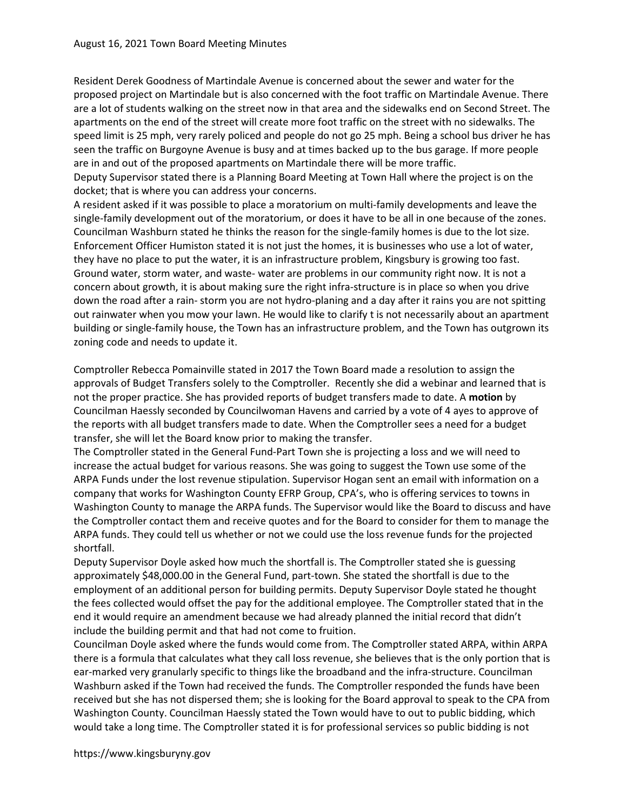Resident Derek Goodness of Martindale Avenue is concerned about the sewer and water for the proposed project on Martindale but is also concerned with the foot traffic on Martindale Avenue. There are a lot of students walking on the street now in that area and the sidewalks end on Second Street. The apartments on the end of the street will create more foot traffic on the street with no sidewalks. The speed limit is 25 mph, very rarely policed and people do not go 25 mph. Being a school bus driver he has seen the traffic on Burgoyne Avenue is busy and at times backed up to the bus garage. If more people are in and out of the proposed apartments on Martindale there will be more traffic.

Deputy Supervisor stated there is a Planning Board Meeting at Town Hall where the project is on the docket; that is where you can address your concerns.

A resident asked if it was possible to place a moratorium on multi-family developments and leave the single-family development out of the moratorium, or does it have to be all in one because of the zones. Councilman Washburn stated he thinks the reason for the single-family homes is due to the lot size. Enforcement Officer Humiston stated it is not just the homes, it is businesses who use a lot of water, they have no place to put the water, it is an infrastructure problem, Kingsbury is growing too fast. Ground water, storm water, and waste- water are problems in our community right now. It is not a concern about growth, it is about making sure the right infra-structure is in place so when you drive down the road after a rain- storm you are not hydro-planing and a day after it rains you are not spitting out rainwater when you mow your lawn. He would like to clarify t is not necessarily about an apartment building or single-family house, the Town has an infrastructure problem, and the Town has outgrown its zoning code and needs to update it.

Comptroller Rebecca Pomainville stated in 2017 the Town Board made a resolution to assign the approvals of Budget Transfers solely to the Comptroller. Recently she did a webinar and learned that is not the proper practice. She has provided reports of budget transfers made to date. A motion by Councilman Haessly seconded by Councilwoman Havens and carried by a vote of 4 ayes to approve of the reports with all budget transfers made to date. When the Comptroller sees a need for a budget transfer, she will let the Board know prior to making the transfer.

The Comptroller stated in the General Fund-Part Town she is projecting a loss and we will need to increase the actual budget for various reasons. She was going to suggest the Town use some of the ARPA Funds under the lost revenue stipulation. Supervisor Hogan sent an email with information on a company that works for Washington County EFRP Group, CPA's, who is offering services to towns in Washington County to manage the ARPA funds. The Supervisor would like the Board to discuss and have the Comptroller contact them and receive quotes and for the Board to consider for them to manage the ARPA funds. They could tell us whether or not we could use the loss revenue funds for the projected shortfall.

Deputy Supervisor Doyle asked how much the shortfall is. The Comptroller stated she is guessing approximately \$48,000.00 in the General Fund, part-town. She stated the shortfall is due to the employment of an additional person for building permits. Deputy Supervisor Doyle stated he thought the fees collected would offset the pay for the additional employee. The Comptroller stated that in the end it would require an amendment because we had already planned the initial record that didn't include the building permit and that had not come to fruition.

Councilman Doyle asked where the funds would come from. The Comptroller stated ARPA, within ARPA there is a formula that calculates what they call loss revenue, she believes that is the only portion that is ear-marked very granularly specific to things like the broadband and the infra-structure. Councilman Washburn asked if the Town had received the funds. The Comptroller responded the funds have been received but she has not dispersed them; she is looking for the Board approval to speak to the CPA from Washington County. Councilman Haessly stated the Town would have to out to public bidding, which would take a long time. The Comptroller stated it is for professional services so public bidding is not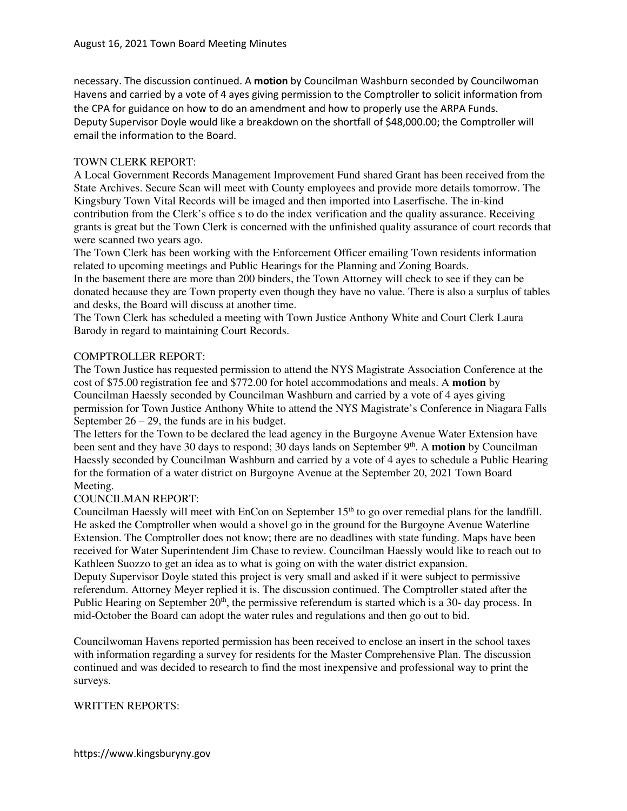necessary. The discussion continued. A motion by Councilman Washburn seconded by Councilwoman Havens and carried by a vote of 4 ayes giving permission to the Comptroller to solicit information from the CPA for guidance on how to do an amendment and how to properly use the ARPA Funds. Deputy Supervisor Doyle would like a breakdown on the shortfall of \$48,000.00; the Comptroller will email the information to the Board.

## TOWN CLERK REPORT:

A Local Government Records Management Improvement Fund shared Grant has been received from the State Archives. Secure Scan will meet with County employees and provide more details tomorrow. The Kingsbury Town Vital Records will be imaged and then imported into Laserfische. The in-kind contribution from the Clerk's office s to do the index verification and the quality assurance. Receiving grants is great but the Town Clerk is concerned with the unfinished quality assurance of court records that were scanned two years ago.

The Town Clerk has been working with the Enforcement Officer emailing Town residents information related to upcoming meetings and Public Hearings for the Planning and Zoning Boards.

In the basement there are more than 200 binders, the Town Attorney will check to see if they can be donated because they are Town property even though they have no value. There is also a surplus of tables and desks, the Board will discuss at another time.

The Town Clerk has scheduled a meeting with Town Justice Anthony White and Court Clerk Laura Barody in regard to maintaining Court Records.

## COMPTROLLER REPORT:

The Town Justice has requested permission to attend the NYS Magistrate Association Conference at the cost of \$75.00 registration fee and \$772.00 for hotel accommodations and meals. A **motion** by Councilman Haessly seconded by Councilman Washburn and carried by a vote of 4 ayes giving permission for Town Justice Anthony White to attend the NYS Magistrate's Conference in Niagara Falls September  $26 - 29$ , the funds are in his budget.

The letters for the Town to be declared the lead agency in the Burgoyne Avenue Water Extension have been sent and they have 30 days to respond; 30 days lands on September 9<sup>th</sup>. A **motion** by Councilman Haessly seconded by Councilman Washburn and carried by a vote of 4 ayes to schedule a Public Hearing for the formation of a water district on Burgoyne Avenue at the September 20, 2021 Town Board Meeting.

## COUNCILMAN REPORT:

Councilman Haessly will meet with EnCon on September  $15<sup>th</sup>$  to go over remedial plans for the landfill. He asked the Comptroller when would a shovel go in the ground for the Burgoyne Avenue Waterline Extension. The Comptroller does not know; there are no deadlines with state funding. Maps have been received for Water Superintendent Jim Chase to review. Councilman Haessly would like to reach out to Kathleen Suozzo to get an idea as to what is going on with the water district expansion.

Deputy Supervisor Doyle stated this project is very small and asked if it were subject to permissive referendum. Attorney Meyer replied it is. The discussion continued. The Comptroller stated after the Public Hearing on September  $20<sup>th</sup>$ , the permissive referendum is started which is a 30- day process. In mid-October the Board can adopt the water rules and regulations and then go out to bid.

Councilwoman Havens reported permission has been received to enclose an insert in the school taxes with information regarding a survey for residents for the Master Comprehensive Plan. The discussion continued and was decided to research to find the most inexpensive and professional way to print the surveys.

## WRITTEN REPORTS: